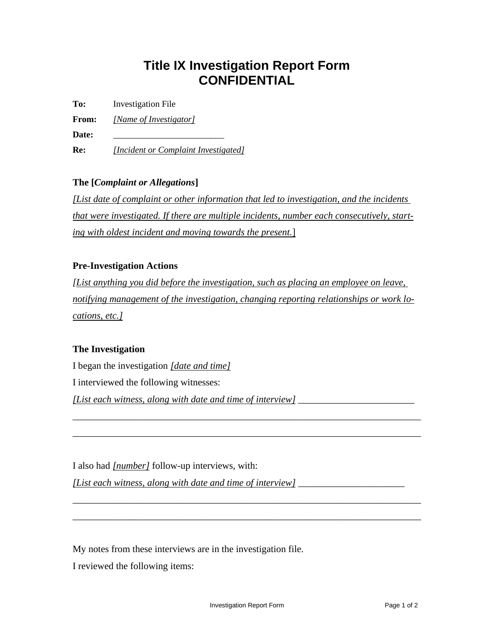# **Title IX Investigation Report Form CONFIDENTIAL**

**To:** Investigation File

**From:** *[Name of Investigator]*

Date:

**Re:** *[Incident or Complaint Investigated]*

## **The [***Complaint or Allegations***]**

*[List date of complaint or other information that led to investigation, and the incidents that were investigated. If there are multiple incidents, number each consecutively, starting with oldest incident and moving towards the present.*]

## **Pre-Investigation Actions**

*[List anything you did before the investigation, such as placing an employee on leave, notifying management of the investigation, changing reporting relationships or work locations, etc.]*

\_\_\_\_\_\_\_\_\_\_\_\_\_\_\_\_\_\_\_\_\_\_\_\_\_\_\_\_\_\_\_\_\_\_\_\_\_\_\_\_\_\_\_\_\_\_\_\_\_\_\_\_\_\_\_\_\_\_\_\_\_\_\_\_\_\_\_\_\_\_\_\_

\_\_\_\_\_\_\_\_\_\_\_\_\_\_\_\_\_\_\_\_\_\_\_\_\_\_\_\_\_\_\_\_\_\_\_\_\_\_\_\_\_\_\_\_\_\_\_\_\_\_\_\_\_\_\_\_\_\_\_\_\_\_\_\_\_\_\_\_\_\_\_\_

\_\_\_\_\_\_\_\_\_\_\_\_\_\_\_\_\_\_\_\_\_\_\_\_\_\_\_\_\_\_\_\_\_\_\_\_\_\_\_\_\_\_\_\_\_\_\_\_\_\_\_\_\_\_\_\_\_\_\_\_\_\_\_\_\_\_\_\_\_\_\_\_

\_\_\_\_\_\_\_\_\_\_\_\_\_\_\_\_\_\_\_\_\_\_\_\_\_\_\_\_\_\_\_\_\_\_\_\_\_\_\_\_\_\_\_\_\_\_\_\_\_\_\_\_\_\_\_\_\_\_\_\_\_\_\_\_\_\_\_\_\_\_\_\_

## **The Investigation**

I began the investigation *[date and time]*

I interviewed the following witnesses:

*[List each witness, along with date and time of interview]* 

I also had *[number]* follow-up interviews, with:

*[List each witness, along with date and time of interview] \_\_\_\_\_\_\_\_\_\_\_\_\_\_\_\_\_\_\_\_\_\_*

My notes from these interviews are in the investigation file.

I reviewed the following items: